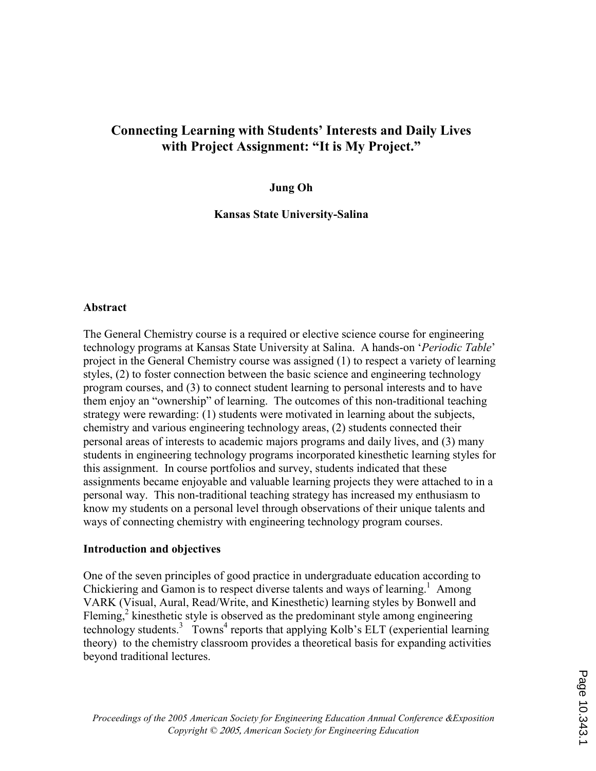# Connecting Learning with Students' Interests and Daily Lives with Project Assignment: "It is My Project."

### Jung Oh

Kansas State University-Salina

### **Abstract**

The General Chemistry course is a required or elective science course for engineering technology programs at Kansas State University at Salina. A hands-on 'Periodic Table' project in the General Chemistry course was assigned (1) to respect a variety of learning styles, (2) to foster connection between the basic science and engineering technology program courses, and (3) to connect student learning to personal interests and to have them enjoy an "ownership" of learning. The outcomes of this non-traditional teaching strategy were rewarding: (1) students were motivated in learning about the subjects, chemistry and various engineering technology areas, (2) students connected their personal areas of interests to academic majors programs and daily lives, and (3) many students in engineering technology programs incorporated kinesthetic learning styles for this assignment. In course portfolios and survey, students indicated that these assignments became enjoyable and valuable learning projects they were attached to in a personal way. This non-traditional teaching strategy has increased my enthusiasm to know my students on a personal level through observations of their unique talents and ways of connecting chemistry with engineering technology program courses.

### Introduction and objectives

One of the seven principles of good practice in undergraduate education according to Chickiering and Gamon is to respect diverse talents and ways of learning.<sup>1</sup> Among VARK (Visual, Aural, Read/Write, and Kinesthetic) learning styles by Bonwell and Fleming, $2$  kinesthetic style is observed as the predominant style among engineering technology students.<sup>3</sup> Towns<sup>4</sup> reports that applying Kolb's ELT (experiential learning theory) to the chemistry classroom provides a theoretical basis for expanding activities beyond traditional lectures.

Proceedings of the 2005 American Society for Engineering Education Annual Conference &Exposition Copyright © 2005, American Society for Engineering Education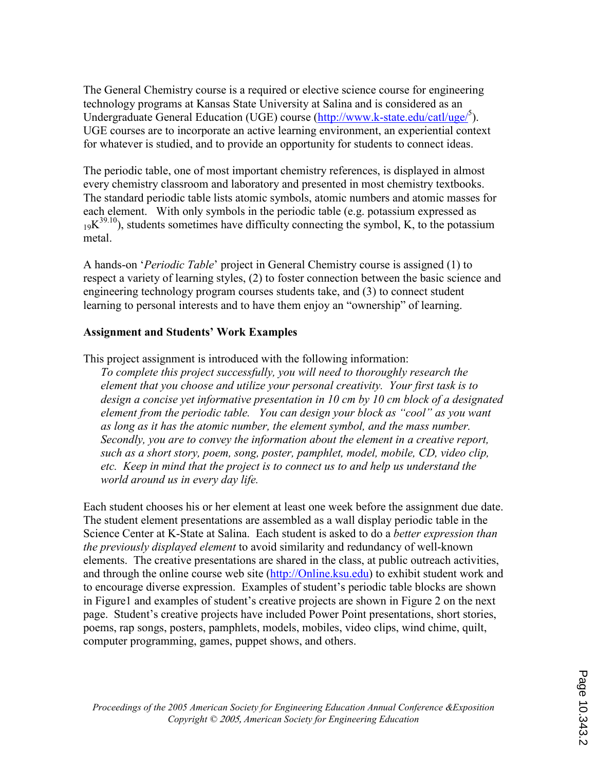The General Chemistry course is a required or elective science course for engineering technology programs at Kansas State University at Salina and is considered as an Undergraduate General Education (UGE) course (http://www.k-state.edu/catl/uge/<sup>5</sup>). UGE courses are to incorporate an active learning environment, an experiential context for whatever is studied, and to provide an opportunity for students to connect ideas.

The periodic table, one of most important chemistry references, is displayed in almost every chemistry classroom and laboratory and presented in most chemistry textbooks. The standard periodic table lists atomic symbols, atomic numbers and atomic masses for each element. With only symbols in the periodic table (e.g. potassium expressed as  $19K^{39.10}$ ), students sometimes have difficulty connecting the symbol, K, to the potassium metal.

A hands-on 'Periodic Table' project in General Chemistry course is assigned (1) to respect a variety of learning styles, (2) to foster connection between the basic science and engineering technology program courses students take, and (3) to connect student learning to personal interests and to have them enjoy an "ownership" of learning.

# Assignment and Students' Work Examples

This project assignment is introduced with the following information:

To complete this project successfully, you will need to thoroughly research the element that you choose and utilize your personal creativity. Your first task is to design a concise yet informative presentation in 10 cm by 10 cm block of a designated element from the periodic table. You can design your block as "cool" as you want as long as it has the atomic number, the element symbol, and the mass number. Secondly, you are to convey the information about the element in a creative report, such as a short story, poem, song, poster, pamphlet, model, mobile, CD, video clip, etc. Keep in mind that the project is to connect us to and help us understand the world around us in every day life.

Each student chooses his or her element at least one week before the assignment due date. The student element presentations are assembled as a wall display periodic table in the Science Center at K-State at Salina. Each student is asked to do a *better expression than* the previously displayed element to avoid similarity and redundancy of well-known elements. The creative presentations are shared in the class, at public outreach activities, and through the online course web site (http://Online.ksu.edu) to exhibit student work and to encourage diverse expression. Examples of student's periodic table blocks are shown in Figure1 and examples of student's creative projects are shown in Figure 2 on the next page. Student's creative projects have included Power Point presentations, short stories, poems, rap songs, posters, pamphlets, models, mobiles, video clips, wind chime, quilt, computer programming, games, puppet shows, and others.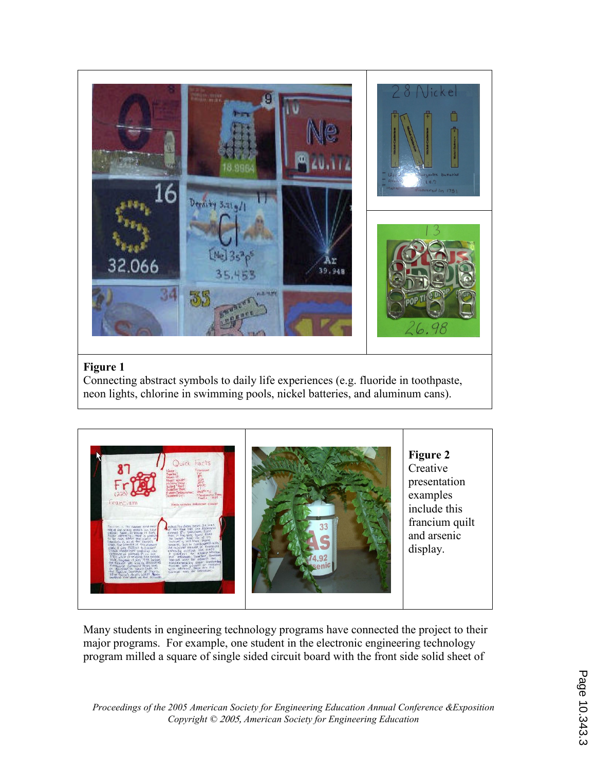

Connecting abstract symbols to daily life experiences (e.g. fluoride in toothpaste, neon lights, chlorine in swimming pools, nickel batteries, and aluminum cans).



Many students in engineering technology programs have connected the project to their major programs. For example, one student in the electronic engineering technology program milled a square of single sided circuit board with the front side solid sheet of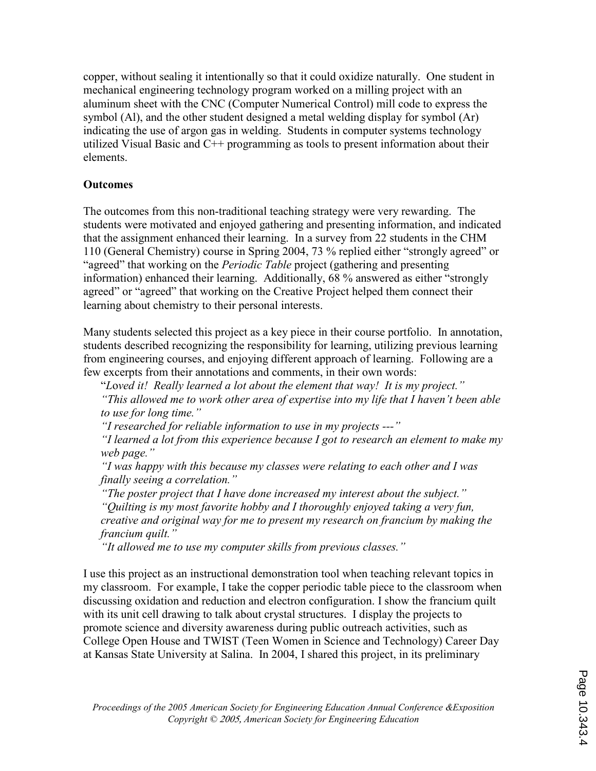copper, without sealing it intentionally so that it could oxidize naturally. One student in mechanical engineering technology program worked on a milling project with an aluminum sheet with the CNC (Computer Numerical Control) mill code to express the symbol (Al), and the other student designed a metal welding display for symbol (Ar) indicating the use of argon gas in welding. Students in computer systems technology utilized Visual Basic and C++ programming as tools to present information about their elements.

# **Outcomes**

The outcomes from this non-traditional teaching strategy were very rewarding. The students were motivated and enjoyed gathering and presenting information, and indicated that the assignment enhanced their learning. In a survey from 22 students in the CHM 110 (General Chemistry) course in Spring 2004, 73 % replied either "strongly agreed" or "agreed" that working on the *Periodic Table* project (gathering and presenting information) enhanced their learning. Additionally, 68 % answered as either "strongly agreed" or "agreed" that working on the Creative Project helped them connect their learning about chemistry to their personal interests.

Many students selected this project as a key piece in their course portfolio. In annotation, students described recognizing the responsibility for learning, utilizing previous learning from engineering courses, and enjoying different approach of learning. Following are a few excerpts from their annotations and comments, in their own words:

"Loved it! Really learned a lot about the element that way! It is my project."

 "This allowed me to work other area of expertise into my life that I haven't been able to use for long time."

"I researched for reliable information to use in my projects ---"

 "I learned a lot from this experience because I got to research an element to make my web page."

 "I was happy with this because my classes were relating to each other and I was finally seeing a correlation."

 "The poster project that I have done increased my interest about the subject." "Quilting is my most favorite hobby and I thoroughly enjoyed taking a very fun, creative and original way for me to present my research on francium by making the francium quilt."

"It allowed me to use my computer skills from previous classes."

I use this project as an instructional demonstration tool when teaching relevant topics in my classroom. For example, I take the copper periodic table piece to the classroom when discussing oxidation and reduction and electron configuration. I show the francium quilt with its unit cell drawing to talk about crystal structures. I display the projects to promote science and diversity awareness during public outreach activities, such as College Open House and TWIST (Teen Women in Science and Technology) Career Day at Kansas State University at Salina. In 2004, I shared this project, in its preliminary